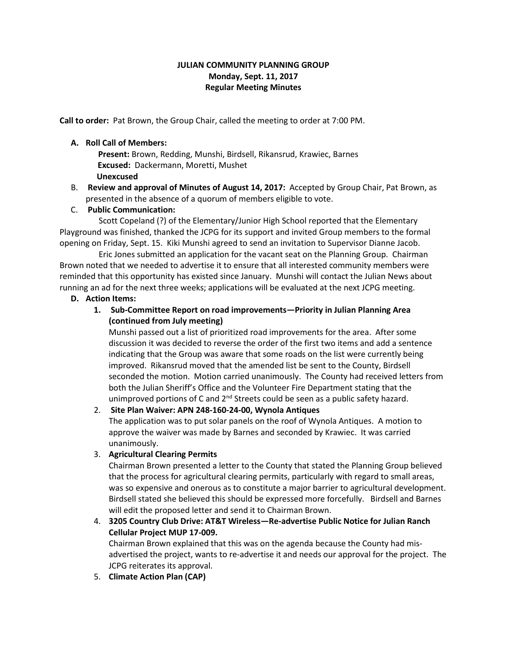## **JULIAN COMMUNITY PLANNING GROUP Monday, Sept. 11, 2017 Regular Meeting Minutes**

**Call to order:** Pat Brown, the Group Chair, called the meeting to order at 7:00 PM.

## **A. Roll Call of Members:**

 **Present:** Brown, Redding, Munshi, Birdsell, Rikansrud, Krawiec, Barnes **Excused:** Dackermann, Moretti, Mushet **Unexcused**

B. **Review and approval of Minutes of August 14, 2017:** Accepted by Group Chair, Pat Brown, as presented in the absence of a quorum of members eligible to vote.

## C. **Public Communication:**

 Scott Copeland (?) of the Elementary/Junior High School reported that the Elementary Playground was finished, thanked the JCPG for its support and invited Group members to the formal opening on Friday, Sept. 15. Kiki Munshi agreed to send an invitation to Supervisor Dianne Jacob.

 Eric Jones submitted an application for the vacant seat on the Planning Group. Chairman Brown noted that we needed to advertise it to ensure that all interested community members were reminded that this opportunity has existed since January. Munshi will contact the Julian News about running an ad for the next three weeks; applications will be evaluated at the next JCPG meeting.

## **D. Action Items:**

# **1. Sub-Committee Report on road improvements—Priority in Julian Planning Area (continued from July meeting)**

Munshi passed out a list of prioritized road improvements for the area. After some discussion it was decided to reverse the order of the first two items and add a sentence indicating that the Group was aware that some roads on the list were currently being improved. Rikansrud moved that the amended list be sent to the County, Birdsell seconded the motion. Motion carried unanimously. The County had received letters from both the Julian Sheriff's Office and the Volunteer Fire Department stating that the unimproved portions of C and 2<sup>nd</sup> Streets could be seen as a public safety hazard.

# 2. **Site Plan Waiver: APN 248-160-24-00, Wynola Antiques**

The application was to put solar panels on the roof of Wynola Antiques. A motion to approve the waiver was made by Barnes and seconded by Krawiec. It was carried unanimously.

## 3. **Agricultural Clearing Permits**

Chairman Brown presented a letter to the County that stated the Planning Group believed that the process for agricultural clearing permits, particularly with regard to small areas, was so expensive and onerous as to constitute a major barrier to agricultural development. Birdsell stated she believed this should be expressed more forcefully. Birdsell and Barnes will edit the proposed letter and send it to Chairman Brown.

# 4. **3205 Country Club Drive: AT&T Wireless—Re-advertise Public Notice for Julian Ranch Cellular Project MUP 17-009.**

Chairman Brown explained that this was on the agenda because the County had misadvertised the project, wants to re-advertise it and needs our approval for the project. The JCPG reiterates its approval.

5. **Climate Action Plan (CAP)**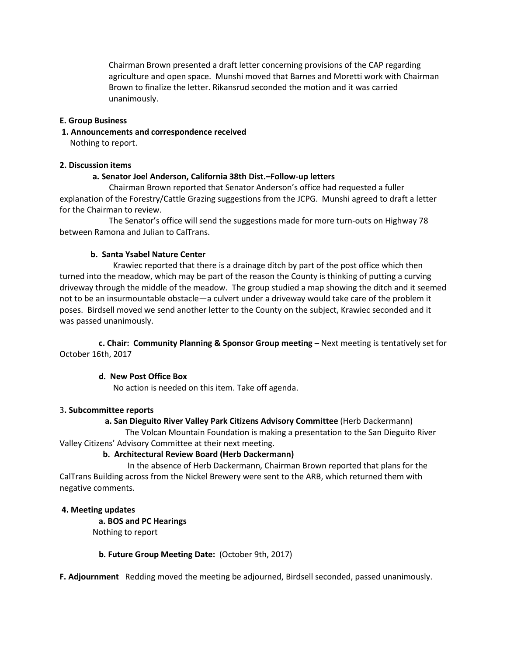Chairman Brown presented a draft letter concerning provisions of the CAP regarding agriculture and open space. Munshi moved that Barnes and Moretti work with Chairman Brown to finalize the letter. Rikansrud seconded the motion and it was carried unanimously.

#### **E. Group Business**

**1. Announcements and correspondence received** 

Nothing to report.

#### **2. Discussion items**

#### **a. Senator Joel Anderson, California 38th Dist.–Follow-up letters**

 Chairman Brown reported that Senator Anderson's office had requested a fuller explanation of the Forestry/Cattle Grazing suggestions from the JCPG. Munshi agreed to draft a letter for the Chairman to review.

 The Senator's office will send the suggestions made for more turn-outs on Highway 78 between Ramona and Julian to CalTrans.

#### **b. Santa Ysabel Nature Center**

Krawiec reported that there is a drainage ditch by part of the post office which then turned into the meadow, which may be part of the reason the County is thinking of putting a curving driveway through the middle of the meadow. The group studied a map showing the ditch and it seemed not to be an insurmountable obstacle—a culvert under a driveway would take care of the problem it poses. Birdsell moved we send another letter to the County on the subject, Krawiec seconded and it was passed unanimously.

 **c. Chair: Community Planning & Sponsor Group meeting** – Next meeting is tentatively set for October 16th, 2017

## **d. New Post Office Box**

No action is needed on this item. Take off agenda.

## 3**. Subcommittee reports**

## **a. San Dieguito River Valley Park Citizens Advisory Committee** (Herb Dackermann)

 The Volcan Mountain Foundation is making a presentation to the San Dieguito River Valley Citizens' Advisory Committee at their next meeting.

## **b. Architectural Review Board (Herb Dackermann)**

In the absence of Herb Dackermann, Chairman Brown reported that plans for the CalTrans Building across from the Nickel Brewery were sent to the ARB, which returned them with negative comments.

## **4. Meeting updates**

 **a. BOS and PC Hearings** 

Nothing to report

## **b. Future Group Meeting Date:** (October 9th, 2017)

**F. Adjournment** Redding moved the meeting be adjourned, Birdsell seconded, passed unanimously.